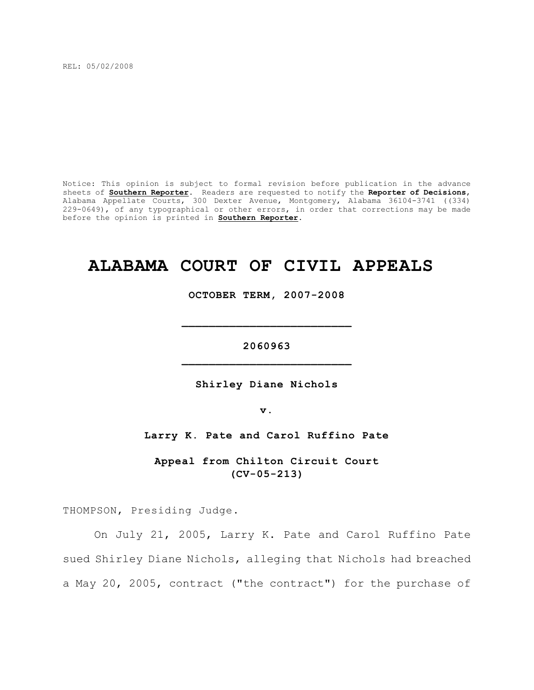REL: 05/02/2008

Notice: This opinion is subject to formal revision before publication in the advance sheets of **Southern Reporter**. Readers are requested to notify the **Reporter of Decisions**, Alabama Appellate Courts, 300 Dexter Avenue, Montgomery, Alabama 36104-3741 ((334) 229-0649), of any typographical or other errors, in order that corrections may be made before the opinion is printed in **Southern Reporter**.

# **ALABAMA COURT OF CIVIL APPEALS**

**OCTOBER TERM, 2007-2008**

**\_\_\_\_\_\_\_\_\_\_\_\_\_\_\_\_\_\_\_\_\_\_\_\_\_**

**2060963 \_\_\_\_\_\_\_\_\_\_\_\_\_\_\_\_\_\_\_\_\_\_\_\_\_**

**Shirley Diane Nichols**

**v.**

**Larry K. Pate and Carol Ruffino Pate**

**Appeal from Chilton Circuit Court (CV-05-213)**

THOMPSON, Presiding Judge.

On July 21, 2005, Larry K. Pate and Carol Ruffino Pate sued Shirley Diane Nichols, alleging that Nichols had breached a May 20, 2005, contract ("the contract") for the purchase of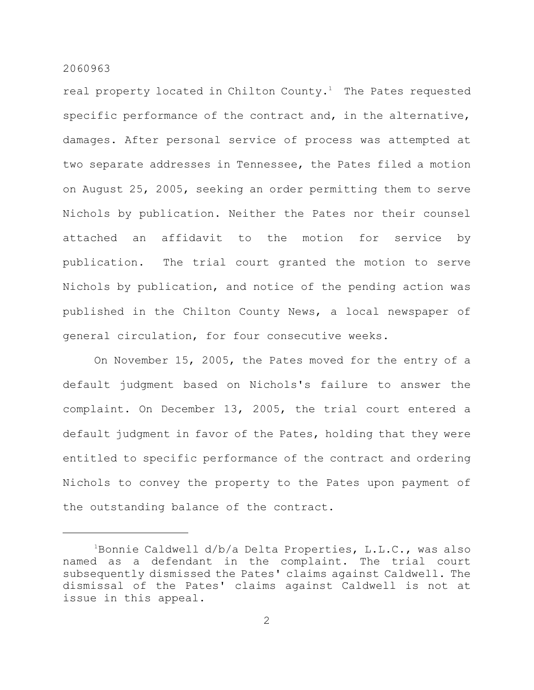real property located in Chilton County.<sup>1</sup> The Pates requested specific performance of the contract and, in the alternative, damages. After personal service of process was attempted at two separate addresses in Tennessee, the Pates filed a motion on August 25, 2005, seeking an order permitting them to serve Nichols by publication. Neither the Pates nor their counsel attached an affidavit to the motion for service by publication. The trial court granted the motion to serve Nichols by publication, and notice of the pending action was published in the Chilton County News, a local newspaper of general circulation, for four consecutive weeks.

On November 15, 2005, the Pates moved for the entry of a default judgment based on Nichols's failure to answer the complaint. On December 13, 2005, the trial court entered a default judgment in favor of the Pates, holding that they were entitled to specific performance of the contract and ordering Nichols to convey the property to the Pates upon payment of the outstanding balance of the contract.

<sup>&</sup>lt;sup>1</sup>Bonnie Caldwell d/b/a Delta Properties, L.L.C., was also named as a defendant in the complaint. The trial court subsequently dismissed the Pates' claims against Caldwell. The dismissal of the Pates' claims against Caldwell is not at issue in this appeal.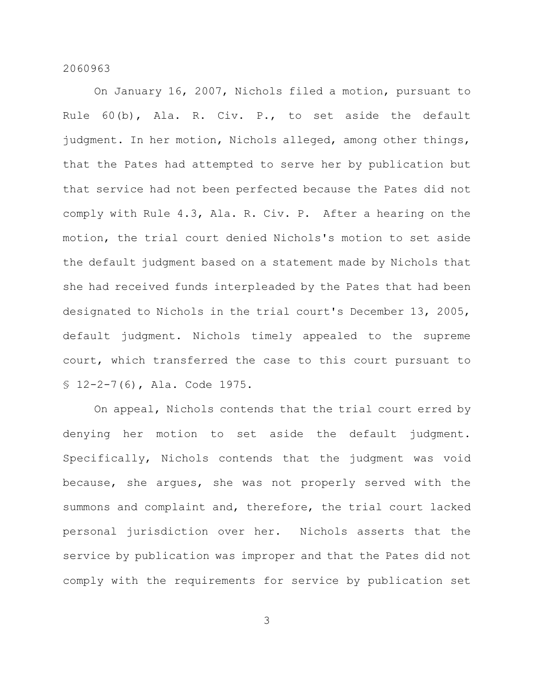On January 16, 2007, Nichols filed a motion, pursuant to Rule 60(b), Ala. R. Civ. P., to set aside the default judgment. In her motion, Nichols alleged, among other things, that the Pates had attempted to serve her by publication but that service had not been perfected because the Pates did not comply with Rule 4.3, Ala. R. Civ. P. After a hearing on the motion, the trial court denied Nichols's motion to set aside the default judgment based on a statement made by Nichols that she had received funds interpleaded by the Pates that had been designated to Nichols in the trial court's December 13, 2005, default judgment. Nichols timely appealed to the supreme court, which transferred the case to this court pursuant to § 12-2-7(6), Ala. Code 1975.

On appeal, Nichols contends that the trial court erred by denying her motion to set aside the default judgment. Specifically, Nichols contends that the judgment was void because, she argues, she was not properly served with the summons and complaint and, therefore, the trial court lacked personal jurisdiction over her. Nichols asserts that the service by publication was improper and that the Pates did not comply with the requirements for service by publication set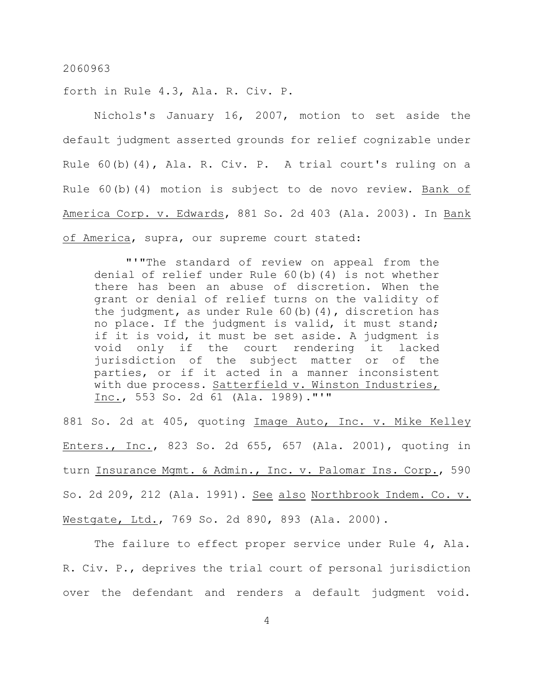forth in Rule 4.3, Ala. R. Civ. P.

Nichols's January 16, 2007, motion to set aside the default judgment asserted grounds for relief cognizable under Rule 60(b)(4), Ala. R. Civ. P. A trial court's ruling on a Rule 60(b)(4) motion is subject to de novo review. Bank of America Corp. v. Edwards, 881 So. 2d 403 (Ala. 2003). In Bank of America, supra, our supreme court stated:

"'"The standard of review on appeal from the denial of relief under Rule 60(b)(4) is not whether there has been an abuse of discretion. When the grant or denial of relief turns on the validity of the judgment, as under Rule  $60(b)(4)$ , discretion has no place. If the judgment is valid, it must stand; if it is void, it must be set aside. A judgment is void only if the court rendering it lacked jurisdiction of the subject matter or of the parties, or if it acted in a manner inconsistent with due process. Satterfield v. Winston Industries, Inc., 553 So. 2d 61 (Ala. 1989)."'"

881 So. 2d at 405, quoting Image Auto, Inc. v. Mike Kelley Enters., Inc., 823 So. 2d 655, 657 (Ala. 2001), quoting in turn Insurance Mgmt. & Admin., Inc. v. Palomar Ins. Corp., 590 So. 2d 209, 212 (Ala. 1991). See also Northbrook Indem. Co. v. Westgate, Ltd., 769 So. 2d 890, 893 (Ala. 2000).

The failure to effect proper service under Rule 4, Ala. R. Civ. P., deprives the trial court of personal jurisdiction over the defendant and renders a default judgment void.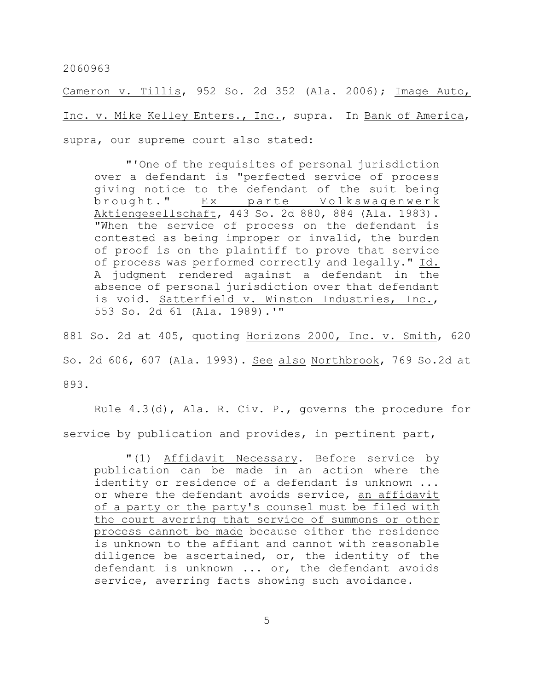Cameron v. Tillis, 952 So. 2d 352 (Ala. 2006); Image Auto, Inc. v. Mike Kelley Enters., Inc., supra. In Bank of America, supra, our supreme court also stated:

"'One of the requisites of personal jurisdiction over a defendant is "perfected service of process giving notice to the defendant of the suit being brought." Ex parte Volkswagenwerk Aktiengesellschaft, 443 So. 2d 880, 884 (Ala. 1983). "When the service of process on the defendant is contested as being improper or invalid, the burden of proof is on the plaintiff to prove that service of process was performed correctly and legally." Id. A judgment rendered against a defendant in the absence of personal jurisdiction over that defendant is void. Satterfield v. Winston Industries, Inc., 553 So. 2d 61 (Ala. 1989).'"

881 So. 2d at 405, quoting Horizons 2000, Inc. v. Smith, 620 So. 2d 606, 607 (Ala. 1993). See also Northbrook, 769 So.2d at 893.

Rule 4.3(d), Ala. R. Civ. P., governs the procedure for service by publication and provides, in pertinent part,

"(1) Affidavit Necessary. Before service by publication can be made in an action where the identity or residence of a defendant is unknown ... or where the defendant avoids service, an affidavit of a party or the party's counsel must be filed with the court averring that service of summons or other process cannot be made because either the residence is unknown to the affiant and cannot with reasonable diligence be ascertained, or, the identity of the defendant is unknown ... or, the defendant avoids service, averring facts showing such avoidance.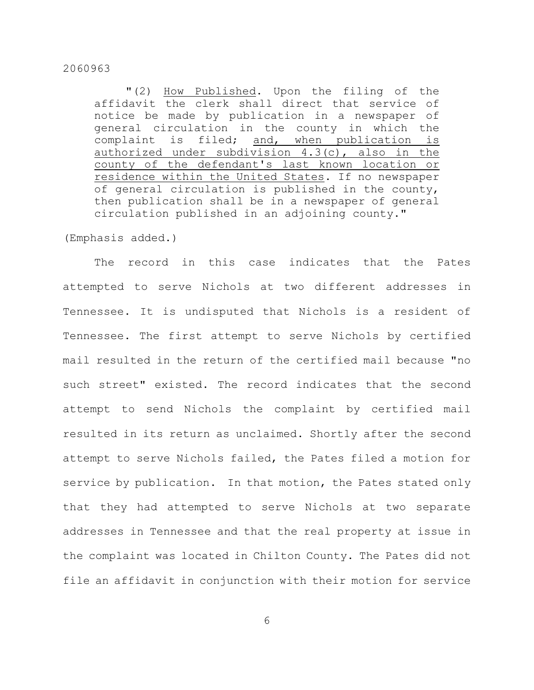"(2) How Published. Upon the filing of the affidavit the clerk shall direct that service of notice be made by publication in a newspaper of general circulation in the county in which the complaint is filed; and, when publication is authorized under subdivision 4.3(c), also in the county of the defendant's last known location or residence within the United States. If no newspaper of general circulation is published in the county, then publication shall be in a newspaper of general circulation published in an adjoining county."

(Emphasis added.)

The record in this case indicates that the Pates attempted to serve Nichols at two different addresses in Tennessee. It is undisputed that Nichols is a resident of Tennessee. The first attempt to serve Nichols by certified mail resulted in the return of the certified mail because "no such street" existed. The record indicates that the second attempt to send Nichols the complaint by certified mail resulted in its return as unclaimed. Shortly after the second attempt to serve Nichols failed, the Pates filed a motion for service by publication. In that motion, the Pates stated only that they had attempted to serve Nichols at two separate addresses in Tennessee and that the real property at issue in the complaint was located in Chilton County. The Pates did not file an affidavit in conjunction with their motion for service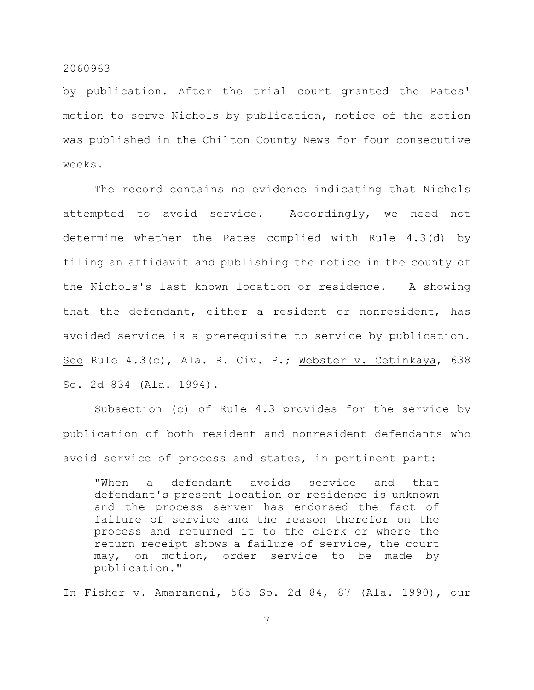by publication. After the trial court granted the Pates' motion to serve Nichols by publication, notice of the action was published in the Chilton County News for four consecutive weeks.

The record contains no evidence indicating that Nichols attempted to avoid service. Accordingly, we need not determine whether the Pates complied with Rule 4.3(d) by filing an affidavit and publishing the notice in the county of the Nichols's last known location or residence. A showing that the defendant, either a resident or nonresident, has avoided service is a prerequisite to service by publication. See Rule 4.3(c), Ala. R. Civ. P.; Webster v. Cetinkaya, 638 So. 2d 834 (Ala. 1994).

Subsection (c) of Rule 4.3 provides for the service by publication of both resident and nonresident defendants who avoid service of process and states, in pertinent part:

"When a defendant avoids service and that defendant's present location or residence is unknown and the process server has endorsed the fact of failure of service and the reason therefor on the process and returned it to the clerk or where the return receipt shows a failure of service, the court may, on motion, order service to be made by publication."

In Fisher v. Amaraneni, 565 So. 2d 84, 87 (Ala. 1990), our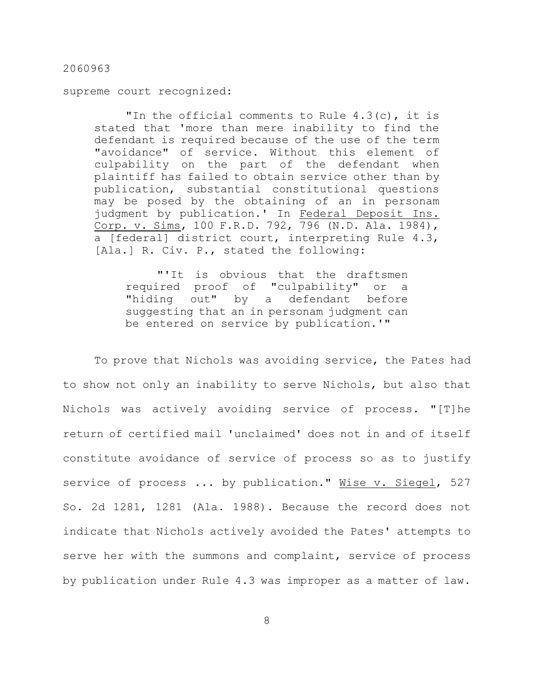supreme court recognized:

"In the official comments to Rule 4.3(c), it is stated that 'more than mere inability to find the defendant is required because of the use of the term "avoidance" of service. Without this element of culpability on the part of the defendant when plaintiff has failed to obtain service other than by publication, substantial constitutional questions may be posed by the obtaining of an in personam judgment by publication.' In Federal Deposit Ins. Corp. v. Sims, 100 F.R.D. 792, 796 (N.D. Ala. 1984), a [federal] district court, interpreting Rule 4.3, [Ala.] R. Civ. P., stated the following:

"'It is obvious that the draftsmen required proof of "culpability" or a "hiding out" by a defendant before suggesting that an in personam judgment can be entered on service by publication.'"

To prove that Nichols was avoiding service, the Pates had to show not only an inability to serve Nichols, but also that Nichols was actively avoiding service of process. "[T]he return of certified mail 'unclaimed' does not in and of itself constitute avoidance of service of process so as to justify service of process ... by publication." Wise v. Siegel, 527 So. 2d 1281, 1281 (Ala. 1988). Because the record does not indicate that Nichols actively avoided the Pates' attempts to serve her with the summons and complaint, service of process by publication under Rule 4.3 was improper as a matter of law.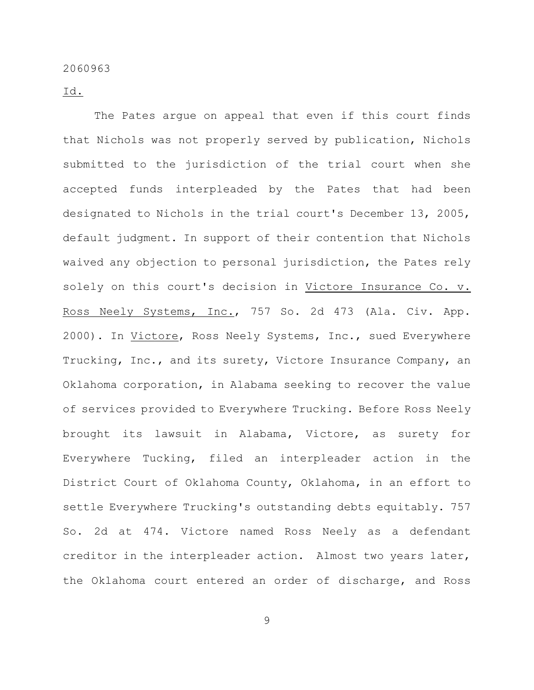Id.

The Pates argue on appeal that even if this court finds that Nichols was not properly served by publication, Nichols submitted to the jurisdiction of the trial court when she accepted funds interpleaded by the Pates that had been designated to Nichols in the trial court's December 13, 2005, default judgment. In support of their contention that Nichols waived any objection to personal jurisdiction, the Pates rely solely on this court's decision in Victore Insurance Co. v. Ross Neely Systems, Inc., 757 So. 2d 473 (Ala. Civ. App. 2000). In Victore, Ross Neely Systems, Inc., sued Everywhere Trucking, Inc., and its surety, Victore Insurance Company, an Oklahoma corporation, in Alabama seeking to recover the value of services provided to Everywhere Trucking. Before Ross Neely brought its lawsuit in Alabama, Victore, as surety for Everywhere Tucking, filed an interpleader action in the District Court of Oklahoma County, Oklahoma, in an effort to settle Everywhere Trucking's outstanding debts equitably. 757 So. 2d at 474. Victore named Ross Neely as a defendant creditor in the interpleader action. Almost two years later, the Oklahoma court entered an order of discharge, and Ross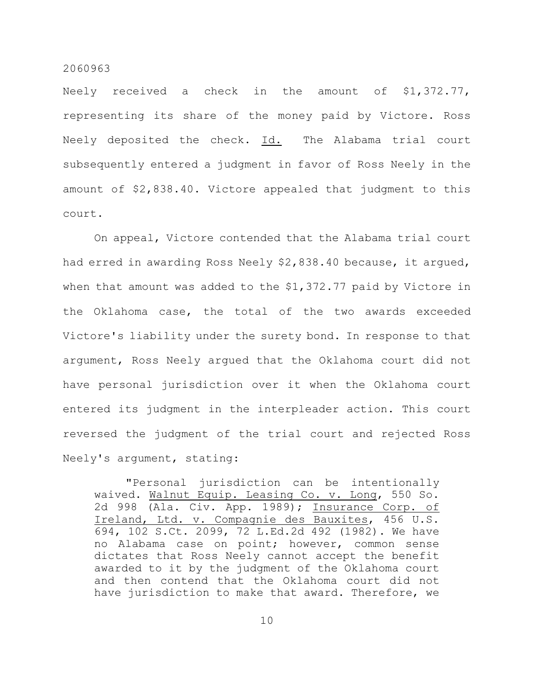Neely received a check in the amount of \$1,372.77, representing its share of the money paid by Victore. Ross Neely deposited the check. Id. The Alabama trial court subsequently entered a judgment in favor of Ross Neely in the amount of \$2,838.40. Victore appealed that judgment to this court.

On appeal, Victore contended that the Alabama trial court had erred in awarding Ross Neely \$2,838.40 because, it argued, when that amount was added to the \$1,372.77 paid by Victore in the Oklahoma case, the total of the two awards exceeded Victore's liability under the surety bond. In response to that argument, Ross Neely argued that the Oklahoma court did not have personal jurisdiction over it when the Oklahoma court entered its judgment in the interpleader action. This court reversed the judgment of the trial court and rejected Ross Neely's argument, stating:

"Personal jurisdiction can be intentionally waived. Walnut Equip. Leasing Co. v. Long, 550 So. 2d 998 (Ala. Civ. App. 1989); Insurance Corp. of Ireland, Ltd. v. Compagnie des Bauxites, 456 U.S. 694, 102 S.Ct. 2099, 72 L.Ed.2d 492 (1982). We have no Alabama case on point; however, common sense dictates that Ross Neely cannot accept the benefit awarded to it by the judgment of the Oklahoma court and then contend that the Oklahoma court did not have jurisdiction to make that award. Therefore, we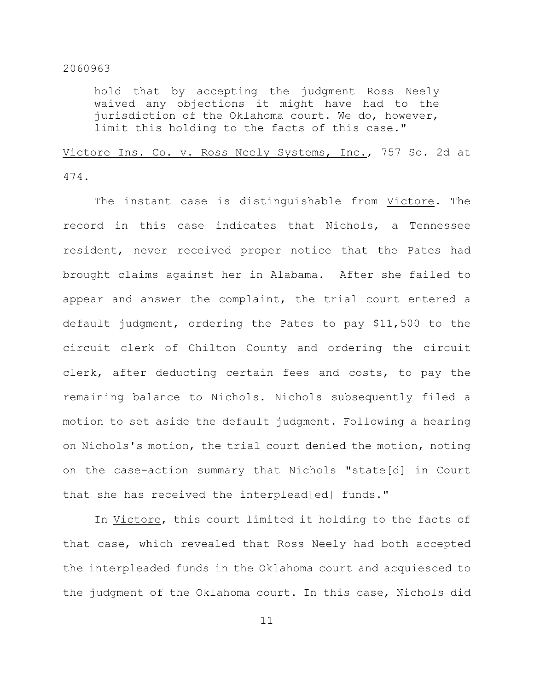hold that by accepting the judgment Ross Neely waived any objections it might have had to the jurisdiction of the Oklahoma court. We do, however, limit this holding to the facts of this case."

Victore Ins. Co. v. Ross Neely Systems, Inc., 757 So. 2d at 474.

The instant case is distinguishable from Victore. The record in this case indicates that Nichols, a Tennessee resident, never received proper notice that the Pates had brought claims against her in Alabama. After she failed to appear and answer the complaint, the trial court entered a default judgment, ordering the Pates to pay \$11,500 to the circuit clerk of Chilton County and ordering the circuit clerk, after deducting certain fees and costs, to pay the remaining balance to Nichols. Nichols subsequently filed a motion to set aside the default judgment. Following a hearing on Nichols's motion, the trial court denied the motion, noting on the case-action summary that Nichols "state[d] in Court that she has received the interplead[ed] funds."

In Victore, this court limited it holding to the facts of that case, which revealed that Ross Neely had both accepted the interpleaded funds in the Oklahoma court and acquiesced to the judgment of the Oklahoma court. In this case, Nichols did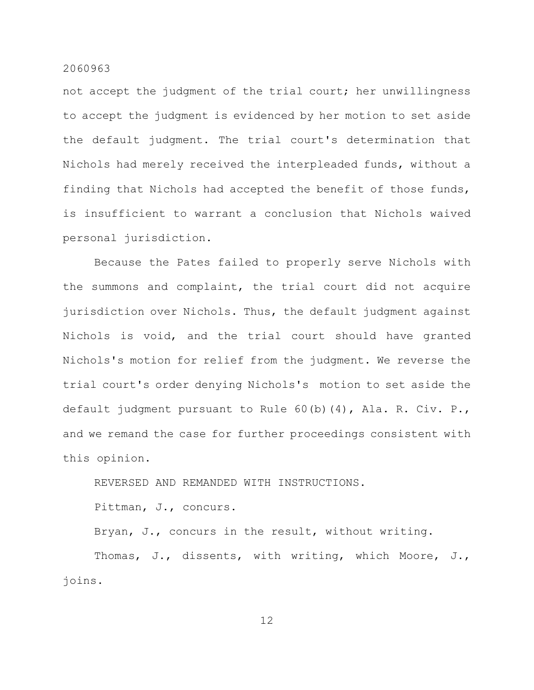not accept the judgment of the trial court; her unwillingness to accept the judgment is evidenced by her motion to set aside the default judgment. The trial court's determination that Nichols had merely received the interpleaded funds, without a finding that Nichols had accepted the benefit of those funds, is insufficient to warrant a conclusion that Nichols waived personal jurisdiction.

Because the Pates failed to properly serve Nichols with the summons and complaint, the trial court did not acquire jurisdiction over Nichols. Thus, the default judgment against Nichols is void, and the trial court should have granted Nichols's motion for relief from the judgment. We reverse the trial court's order denying Nichols's motion to set aside the default judgment pursuant to Rule 60(b)(4), Ala. R. Civ. P., and we remand the case for further proceedings consistent with this opinion.

REVERSED AND REMANDED WITH INSTRUCTIONS.

Pittman, J., concurs.

Bryan, J., concurs in the result, without writing.

Thomas, J., dissents, with writing, which Moore, J., joins.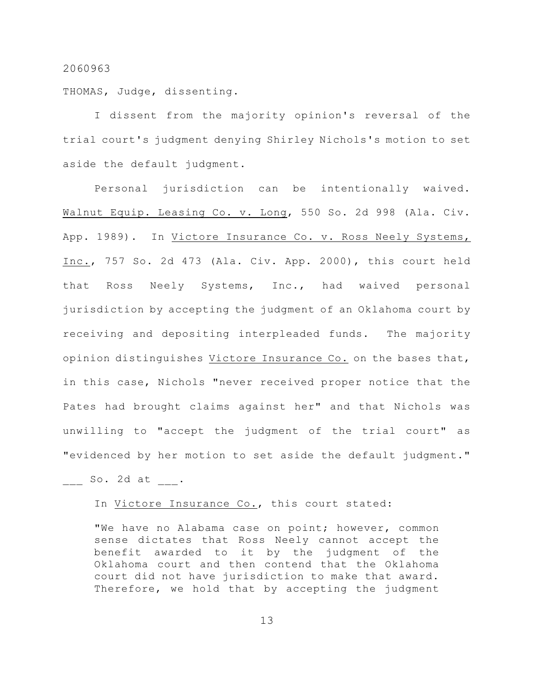THOMAS, Judge, dissenting.

I dissent from the majority opinion's reversal of the trial court's judgment denying Shirley Nichols's motion to set aside the default judgment.

Personal jurisdiction can be intentionally waived. Walnut Equip. Leasing Co. v. Long, 550 So. 2d 998 (Ala. Civ. App. 1989). In Victore Insurance Co. v. Ross Neely Systems, Inc., 757 So. 2d 473 (Ala. Civ. App. 2000), this court held that Ross Neely Systems, Inc., had waived personal jurisdiction by accepting the judgment of an Oklahoma court by receiving and depositing interpleaded funds. The majority opinion distinguishes Victore Insurance Co. on the bases that, in this case, Nichols "never received proper notice that the Pates had brought claims against her" and that Nichols was unwilling to "accept the judgment of the trial court" as "evidenced by her motion to set aside the default judgment."

 $So. 2d at .$ 

In Victore Insurance Co., this court stated:

"We have no Alabama case on point; however, common sense dictates that Ross Neely cannot accept the benefit awarded to it by the judgment of the Oklahoma court and then contend that the Oklahoma court did not have jurisdiction to make that award. Therefore, we hold that by accepting the judgment